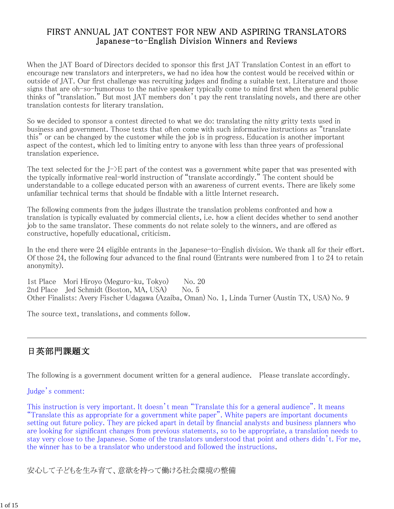### FIRST ANNUAL JAT CONTEST FOR NEW AND ASPIRING TRANSLATORS Japanese-to-English Division Winners and Reviews

When the JAT Board of Directors decided to sponsor this first JAT Translation Contest in an effort to encourage new translators and interpreters, we had no idea how the contest would be received within or outside of JAT. Our first challenge was recruiting judges and finding a suitable text. Literature and those signs that are oh-so-humorous to the native speaker typically come to mind first when the general public thinks of "translation." But most JAT members don't pay the rent translating novels, and there are other translation contests for literary translation.

So we decided to sponsor a contest directed to what we do: translating the nitty gritty texts used in business and government. Those texts that often come with such informative instructions as "translate this" or can be changed by the customer while the job is in progress. Education is another important aspect of the contest, which led to limiting entry to anyone with less than three years of professional translation experience.

The text selected for the  $J<sup>+</sup>$ E part of the contest was a government white paper that was presented with the typically informative real-world instruction of "translate accordingly." The content should be understandable to a college educated person with an awareness of current events. There are likely some unfamiliar technical terms that should be findable with a little Internet research.

The following comments from the judges illustrate the translation problems confronted and how a translation is typically evaluated by commercial clients, i.e. how a client decides whether to send another job to the same translator. These comments do not relate solely to the winners, and are offered as constructive, hopefully educational, criticism.

In the end there were 24 eligible entrants in the Japanese-to-English division. We thank all for their effort. Of those 24, the following four advanced to the final round (Entrants were numbered from 1 to 24 to retain anonymity).

1st Place Mori Hiroyo (Meguro-ku, Tokyo) No. 20 2nd Place Jed Schmidt (Boston, MA, USA) No. 5 Other Finalists: Avery Fischer Udagawa (Azaiba, Oman) No. 1, Linda Turner (Austin TX, USA) No. 9

The source text, translations, and comments follow.

# 日英部門課題文

The following is a government document written for a general audience. Please translate accordingly.

#### Judge's comment:

This instruction is very important. It doesn't mean "Translate this for a general audience". It means "Translate this as appropriate for a government white paper". White papers are important documents setting out future policy. They are picked apart in detail by financial analysts and business planners who are looking for significant changes from previous statements, so to be appropriate, a translation needs to stay very close to the Japanese. Some of the translators understood that point and others didn't. For me, the winner has to be a translator who understood and followed the instructions.

安心して子どもを生み育て、意欲を持って働ける社会環境の整備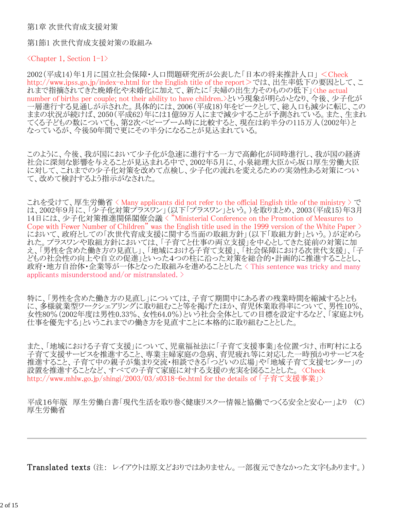#### 第1章 次世代育成支援対策

第1節1 次世代育成支援対策の取組み

 $\langle$ Chapter 1, Section 1-1 $\rangle$ 

2002(平成14)年1月に国立社会保障・人口問題研究所が公表した「日本の将来推計人口」 <Check http://www.ipss.go.jp/index-e.html for the English title of the report>では、出生率低下の要因として、こ れまで指摘されてきた晩婚化や未婚化に加えて、新たに「夫婦の出生力そのものの低下」くthe actual number of births per couple; not their ability to have children.>という現象が明らかとなり、今後、少子化が 一層進行する見通しが示された。具体的には、2006(平成18)年をピークとして、総人口も減少に転じ、この ままの状況が続けば、2050(平成62)年には1億59万人にまで減少することが予測されている。また、生まれ 。<br>てくる子どもの数についても、第2次ベビーブーム時に比較すると、現在は約半分の115万人(2002年)と なっているが、今後50年間で更にその半分になることが見込まれている。

このように、今後、我が国において少子化が急速に進行する一方で高齢化が同時進行し、我が国の経済 社会に深刻な影響を与えることが見込まれる中で、2002年5月に、小泉総理大臣から坂口厚生労働大臣 に対して、これまでの少子化対策を改めて点検し、少子化の流れを変えるための実効性ある対策につい て、改めて検討するよう指示がなされた。

これを受けて、厚生労働省 < Many applicants did not refer to the official English title of the ministry > で は、2002年9月に、「少子化対策プラスワン」(以下「プラスワン」という。)を取りまとめ、2003(平成15)年3月 14日には、少子化対策推進関係閣僚会議 < "Ministerial Conference on the Promotion of Measures to Cope with Fewer Number of Children" was the English title used in the 1999 version of the White Paper  $\geq$ において、政府としての「次世代育成支援に関する当面の取組方針」(以下「取組方針」という。)が定めら れた。プラスワンや取組方針においては、「子育てと仕事の両立支援」を中心としてきた従前の対策に加 え、「男性を含めた働き方の見直し」、「地域における子育て支援」、「社会保障における次世代支援」、「子 どもの社会性の向上や自立の促進」といった4つの柱に沿った対策を総合的・計画的に推進することとし、 政府・地方自治体・企業等が一体となった取組みを進めることとした < This sentence was tricky and many applicants misunderstood and/or mistranslated. >

特に、「男性を含めた働き方の見直し」については、子育て期間中にある者の残業時間を縮減するととも に、多様就業型ワークシェアリングに取り組むこと等を掲げたほか、育児休業取得率について、男性10%、 女性80%(2002年度は男性0.33%、女性64.0%)という社会全体としての目標を設定するなど、「家庭よりも 仕事を優先する」というこれまでの働き方を見直すことに本格的に取り組むこととした。

また、「地域における子育て支援」について、児童福祉法に「子育て支援事業」を位置づけ、市町村による 子育て支援サービスを推進すること、専業主婦家庭の急病、育児疲れ等に対応した一時預かりサービスを 推進すること、子育て中の親子が集まり交流・相談できる「つどいの広場」や「地域子育て支援センター」の 設置を推進することなど、すべての子育て家庭に対する支援の充実を図ることとした。 <Check http://www.mhlw.go.jp/shingi/2003/03/s0318-6e.html for the details of 「子育て支援事業」>

平成16年版 厚生労働白書「現代生活を取り巻く健康リスクー情報と協働でつくる安全と安心ー」より (C) 厚生労働省

Translated texts (注: レイアウトは原文どおりではありません。一部復元できなかった文字もあります。)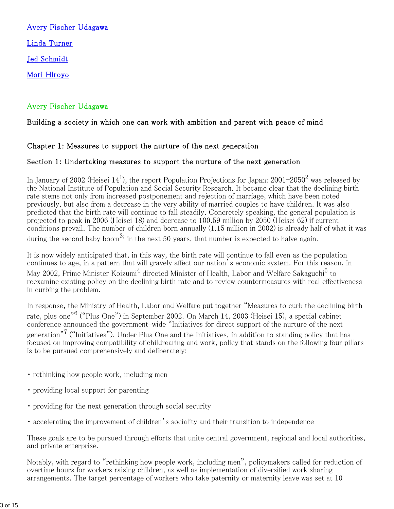Avery Fischer Udagawa Linda Turner Jed Schmidt Mori Hiroyo

### Avery Fischer Udagawa

### Building a society in which one can work with ambition and parent with peace of mind

#### Chapter 1: Measures to support the nurture of the next generation

#### Section 1: Undertaking measures to support the nurture of the next generation

In January of 2002 (Heisei 14<sup>1</sup>), the report Population Projections for Japan: 2001–2050<sup>2</sup> was released by the National Institute of Population and Social Security Research. It became clear that the declining birth rate stems not only from increased postponement and rejection of marriage, which have been noted previously, but also from a decrease in the very ability of married couples to have children. It was also predicted that the birth rate will continue to fall steadily. Concretely speaking, the general population is projected to peak in 2006 (Heisei 18) and decrease to 100.59 million by 2050 (Heisei 62) if current conditions prevail. The number of children born annually (1.15 million in 2002) is already half of what it was during the second baby boom<sup>3;</sup> in the next 50 years, that number is expected to halve again.

It is now widely anticipated that, in this way, the birth rate will continue to fall even as the population continues to age, in a pattern that will gravely affect our nation's economic system. For this reason, in May 2002, Prime Minister Koizumi $^4$  directed Minister of Health, Labor and Welfare Sakaguchi $^5$  to reexamine existing policy on the declining birth rate and to review countermeasures with real effectiveness in curbing the problem.

In response, the Ministry of Health, Labor and Welfare put together "Measures to curb the declining birth rate, plus one"<sup>6</sup> ("Plus One") in September 2002. On March 14, 2003 (Heisei 15), a special cabinet conference announced the government-wide "Initiatives for direct support of the nurture of the next generation"<sup>7</sup> ("Initiatives"). Under Plus One and the Initiatives, in addition to standing policy that has focused on improving compatibility of childrearing and work, policy that stands on the following four pillars is to be pursued comprehensively and deliberately:

- ・ rethinking how people work, including men
- ・ providing local support for parenting
- ・ providing for the next generation through social security
- ・ accelerating the improvement of children's sociality and their transition to independence

These goals are to be pursued through efforts that unite central government, regional and local authorities, and private enterprise.

Notably, with regard to "rethinking how people work, including men", policymakers called for reduction of overtime hours for workers raising children, as well as implementation of diversified work sharing arrangements. The target percentage of workers who take paternity or maternity leave was set at 10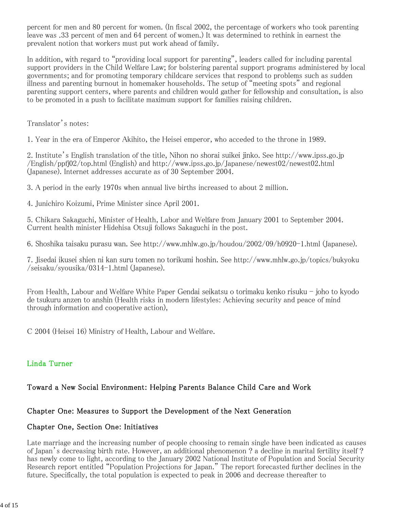percent for men and 80 percent for women. (In fiscal 2002, the percentage of workers who took parenting leave was .33 percent of men and 64 percent of women.) It was determined to rethink in earnest the prevalent notion that workers must put work ahead of family.

In addition, with regard to "providing local support for parenting", leaders called for including parental support providers in the Child Welfare Law; for bolstering parental support programs administered by local governments; and for promoting temporary childcare services that respond to problems such as sudden illness and parenting burnout in homemaker households. The setup of "meeting spots" and regional parenting support centers, where parents and children would gather for fellowship and consultation, is also to be promoted in a push to facilitate maximum support for families raising children.

Translator's notes:

1. Year in the era of Emperor Akihito, the Heisei emperor, who acceded to the throne in 1989.

2. Institute's English translation of the title, Nihon no shorai suikei jinko. See http://www.ipss.go.jp /English/ppfj02/top.html (English) and http://www.ipss.go.jp/Japanese/newest02/newest02.html (Japanese). Internet addresses accurate as of 30 September 2004.

3. A period in the early 1970s when annual live births increased to about 2 million.

4. Junichiro Koizumi, Prime Minister since April 2001.

5. Chikara Sakaguchi, Minister of Health, Labor and Welfare from January 2001 to September 2004. Current health minister Hidehisa Otsuji follows Sakaguchi in the post.

6. Shoshika taisaku purasu wan. See http://www.mhlw.go.jp/houdou/2002/09/h0920-1.html (Japanese).

7. Jisedai ikusei shien ni kan suru tomen no torikumi hoshin. See http://www.mhlw.go.jp/topics/bukyoku /seisaku/syousika/0314-1.html (Japanese).

From Health, Labour and Welfare White Paper Gendai seikatsu o torimaku kenko risuku - joho to kyodo de tsukuru anzen to anshin (Health risks in modern lifestyles: Achieving security and peace of mind through information and cooperative action),

C 2004 (Heisei 16) Ministry of Health, Labour and Welfare.

## Linda Turner

## Toward a New Social Environment: Helping Parents Balance Child Care and Work

### Chapter One: Measures to Support the Development of the Next Generation

### Chapter One, Section One: Initiatives

Late marriage and the increasing number of people choosing to remain single have been indicated as causes of Japan's decreasing birth rate. However, an additional phenomenon ? a decline in marital fertility itself ? has newly come to light, according to the January 2002 National Institute of Population and Social Security Research report entitled "Population Projections for Japan." The report forecasted further declines in the future. Specifically, the total population is expected to peak in 2006 and decrease thereafter to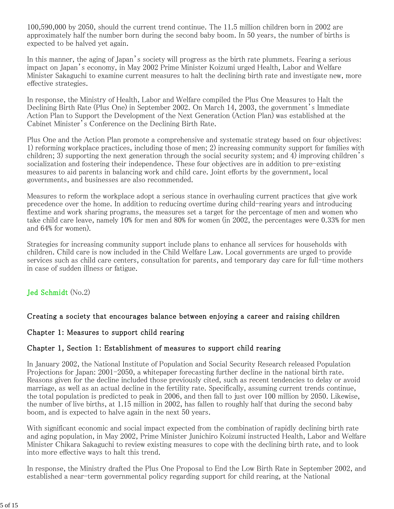100,590,000 by 2050, should the current trend continue. The 11.5 million children born in 2002 are approximately half the number born during the second baby boom. In 50 years, the number of births is expected to be halved yet again.

In this manner, the aging of Japan's society will progress as the birth rate plummets. Fearing a serious impact on Japan's economy, in May 2002 Prime Minister Koizumi urged Health, Labor and Welfare Minister Sakaguchi to examine current measures to halt the declining birth rate and investigate new, more effective strategies.

In response, the Ministry of Health, Labor and Welfare compiled the Plus One Measures to Halt the Declining Birth Rate (Plus One) in September 2002. On March 14, 2003, the government's Immediate Action Plan to Support the Development of the Next Generation (Action Plan) was established at the Cabinet Minister's Conference on the Declining Birth Rate.

Plus One and the Action Plan promote a comprehensive and systematic strategy based on four objectives: 1) reforming workplace practices, including those of men; 2) increasing community support for families with children; 3) supporting the next generation through the social security system; and 4) improving children's socialization and fostering their independence. These four objectives are in addition to pre-existing measures to aid parents in balancing work and child care. Joint efforts by the government, local governments, and businesses are also recommended.

Measures to reform the workplace adopt a serious stance in overhauling current practices that give work precedence over the home. In addition to reducing overtime during child-rearing years and introducing flextime and work sharing programs, the measures set a target for the percentage of men and women who take child care leave, namely 10% for men and 80% for women (in 2002, the percentages were 0.33% for men and 64% for women).

Strategies for increasing community support include plans to enhance all services for households with children. Child care is now included in the Child Welfare Law. Local governments are urged to provide services such as child care centers, consultation for parents, and temporary day care for full-time mothers in case of sudden illness or fatigue.

#### Jed Schmidt (No.2)

#### Creating a society that encourages balance between enjoying a career and raising children

#### Chapter 1: Measures to support child rearing

#### Chapter 1, Section 1: Establishment of measures to support child rearing

In January 2002, the National Institute of Population and Social Security Research released Population Projections for Japan: 2001-2050, a whitepaper forecasting further decline in the national birth rate. Reasons given for the decline included those previously cited, such as recent tendencies to delay or avoid marriage, as well as an actual decline in the fertility rate. Specifically, assuming current trends continue, the total population is predicted to peak in 2006, and then fall to just over 100 million by 2050. Likewise, the number of live births, at 1.15 million in 2002, has fallen to roughly half that during the second baby boom, and is expected to halve again in the next 50 years.

With significant economic and social impact expected from the combination of rapidly declining birth rate and aging population, in May 2002, Prime Minister Junichiro Koizumi instructed Health, Labor and Welfare Minister Chikara Sakaguchi to review existing measures to cope with the declining birth rate, and to look into more effective ways to halt this trend.

In response, the Ministry drafted the Plus One Proposal to End the Low Birth Rate in September 2002, and established a near-term governmental policy regarding support for child rearing, at the National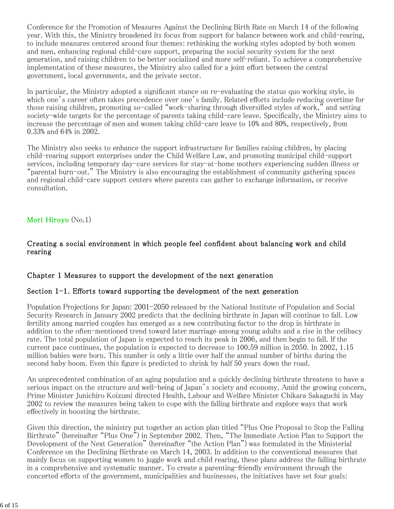Conference for the Promotion of Measures Against the Declining Birth Rate on March 14 of the following year. With this, the Ministry broadened its focus from support for balance between work and child-rearing, to include measures centered around four themes: rethinking the working styles adopted by both women and men, enhancing regional child-care support, preparing the social security system for the next generation, and raising children to be better socialized and more self-reliant. To achieve a comprehensive implementation of these measures, the Ministry also called for a joint effort between the central government, local governments, and the private sector.

In particular, the Ministry adopted a significant stance on re-evaluating the status quo working style, in which one's career often takes precedence over one's family. Related efforts include reducing overtime for those raising children, promoting so-called "work-sharing through diversified styles of work," and setting society-wide targets for the percentage of parents taking child-care leave. Specifically, the Ministry aims to increase the percentage of men and women taking child-care leave to 10% and 80%, respectively, from 0.33% and 64% in 2002.

The Ministry also seeks to enhance the support infrastructure for families raising children, by placing child-rearing support enterprises under the Child Welfare Law, and promoting municipal child-support services, including temporary day-care services for stay-at-home mothers experiencing sudden illness or "parental burn-out." The Ministry is also encouraging the establishment of community gathering spaces and regional child-care support centers where parents can gather to exchange information, or receive consultation.

### Mori Hiroyo (No.1)

#### Creating a social environment in which people feel confident about balancing work and child rearing

#### Chapter 1 Measures to support the development of the next generation

#### Section  $1-1$ . Efforts toward supporting the development of the next generation

Population Projections for Japan: 2001-2050 released by the National Institute of Population and Social Security Research in January 2002 predicts that the declining birthrate in Japan will continue to fall. Low fertility among married couples has emerged as a new contributing factor to the drop in birthrate in addition to the often-mentioned trend toward later marriage among young adults and a rise in the celibacy rate. The total population of Japan is expected to reach its peak in 2006, and then begin to fall. If the current pace continues, the population is expected to decrease to 100.59 million in 2050. In 2002, 1.15 million babies were born. This number is only a little over half the annual number of births during the second baby boom. Even this figure is predicted to shrink by half 50 years down the road.

An unprecedented combination of an aging population and a quickly declining birthrate threatens to have a serious impact on the structure and well-being of Japan's society and economy. Amid the growing concern, Prime Minister Junichiro Koizumi directed Health, Labour and Welfare Minister Chikara Sakaguchi in May 2002 to review the measures being taken to cope with the falling birthrate and explore ways that work effectively in boosting the birthrate.

Given this direction, the ministry put together an action plan titled "Plus One Proposal to Stop the Falling Birthrate" (hereinafter "Plus One") in September 2002. Then, "The Immediate Action Plan to Support the Development of the Next Generation" (hereinafter "the Action Plan") was formulated in the Ministerial Conference on the Declining Birthrate on March 14, 2003. In addition to the conventional measures that mainly focus on supporting women to juggle work and child rearing, these plans address the falling birthrate in a comprehensive and systematic manner. To create a parenting-friendly environment through the concerted efforts of the government, municipalities and businesses, the initiatives have set four goals: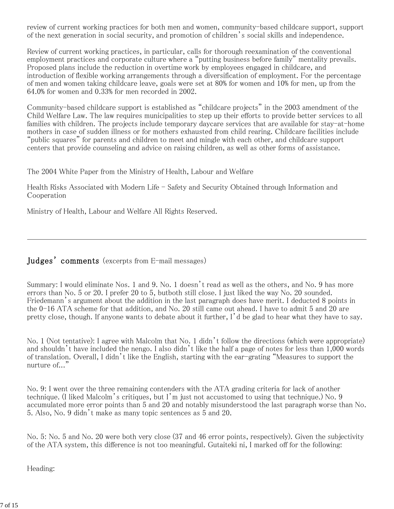review of current working practices for both men and women, community-based childcare support, support of the next generation in social security, and promotion of children's social skills and independence.

Review of current working practices, in particular, calls for thorough reexamination of the conventional employment practices and corporate culture where a "putting business before family" mentality prevails. Proposed plans include the reduction in overtime work by employees engaged in childcare, and introduction of flexible working arrangements through a diversification of employment. For the percentage of men and women taking childcare leave, goals were set at 80% for women and 10% for men, up from the 64.0% for women and 0.33% for men recorded in 2002.

Community-based childcare support is established as "childcare projects" in the 2003 amendment of the Child Welfare Law. The law requires municipalities to step up their efforts to provide better services to all families with children. The projects include temporary daycare services that are available for stay-at-home mothers in case of sudden illness or for mothers exhausted from child rearing. Childcare facilities include "public squares" for parents and children to meet and mingle with each other, and childcare support centers that provide counseling and advice on raising children, as well as other forms of assistance.

The 2004 White Paper from the Ministry of Health, Labour and Welfare

Health Risks Associated with Modern Life - Safety and Security Obtained through Information and Cooperation

Ministry of Health, Labour and Welfare All Rights Reserved.

## Judges' comments (excerpts from E-mail messages)

Summary: I would eliminate Nos. 1 and 9. No. 1 doesn't read as well as the others, and No. 9 has more errors than No. 5 or 20. I prefer 20 to 5, butboth still close. I just liked the way No. 20 sounded. Friedemann's argument about the addition in the last paragraph does have merit. I deducted 8 points in the 0-16 ATA scheme for that addition, and No. 20 still came out ahead. I have to admit 5 and 20 are pretty close, though. If anyone wants to debate about it further, I'd be glad to hear what they have to say.

No. 1 (Not tentative): I agree with Malcolm that No. 1 didn't follow the directions (which were appropriate) and shouldn't have included the nengo. I also didn't like the half a page of notes for less than 1,000 words of translation. Overall, I didn't like the English, starting with the ear-grating "Measures to support the nurture of..."

No. 9: I went over the three remaining contenders with the ATA grading criteria for lack of another technique. (I liked Malcolm's critiques, but I'm just not accustomed to using that technique.) No. 9 accumulated more error points than 5 and 20 and notably misunderstood the last paragraph worse than No. 5. Also, No. 9 didn't make as many topic sentences as 5 and 20.

No. 5: No. 5 and No. 20 were both very close (37 and 46 error points, respectively). Given the subjectivity of the ATA system, this difference is not too meaningful. Gutaiteki ni, I marked off for the following:

Heading: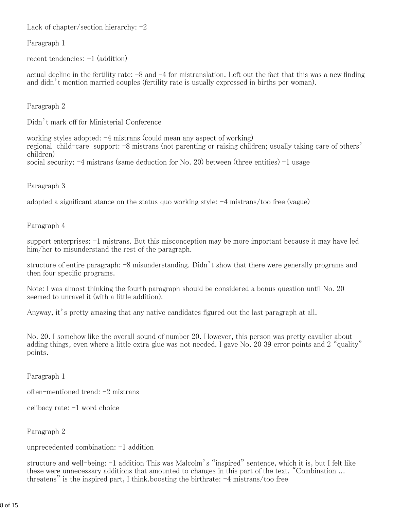Lack of chapter/section hierarchy:  $-2$ 

Paragraph 1

recent tendencies: -1 (addition)

actual decline in the fertility rate:  $-8$  and  $-4$  for mistranslation. Left out the fact that this was a new finding and didn't mention married couples (fertility rate is usually expressed in births per woman).

Paragraph 2

Didn't mark off for Ministerial Conference

working styles adopted: -4 mistrans (could mean any aspect of working) regional \_child-care\_ support: -8 mistrans (not parenting or raising children; usually taking care of others' children) social security:  $-4$  mistrans (same deduction for No. 20) between (three entities)  $-1$  usage

Paragraph 3

adopted a significant stance on the status quo working style: -4 mistrans/too free (vague)

Paragraph 4

support enterprises: -1 mistrans. But this misconception may be more important because it may have led him/her to misunderstand the rest of the paragraph.

structure of entire paragraph: -8 misunderstanding. Didn't show that there were generally programs and then four specific programs.

Note: I was almost thinking the fourth paragraph should be considered a bonus question until No. 20 seemed to unravel it (with a little addition).

Anyway, it's pretty amazing that any native candidates figured out the last paragraph at all.

No. 20. I somehow like the overall sound of number 20. However, this person was pretty cavalier about adding things, even where a little extra glue was not needed. I gave No. 20 39 error points and 2 "quality" points.

Paragraph 1

often-mentioned trend: -2 mistrans

celibacy rate: -1 word choice

Paragraph 2

unprecedented combination: -1 addition

structure and well-being: -1 addition This was Malcolm's "inspired" sentence, which it is, but I felt like these were unnecessary additions that amounted to changes in this part of the text. "Combination ... threatens" is the inspired part, I think.boosting the birthrate:  $-4$  mistrans/too free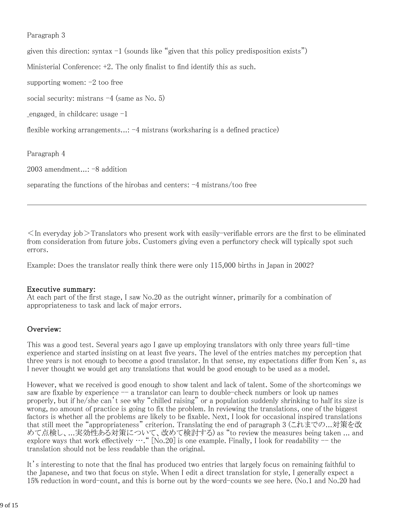Paragraph 3

given this direction: syntax  $-1$  (sounds like "given that this policy predisposition exists")

Ministerial Conference: +2. The only finalist to find identify this as such.

supporting women:  $-2$  too free

social security: mistrans -4 (same as No. 5)

 $_{\text{engaged}}$  in childcare: usage  $-1$ 

flexible working arrangements...: -4 mistrans (worksharing is a defined practice)

Paragraph 4

2003 amendment...: -8 addition

separating the functions of the hirobas and centers:  $-4$  mistrans/too free

 $\leq$ In everyday job $\geq$ Translators who present work with easily-verifiable errors are the first to be eliminated from consideration from future jobs. Customers giving even a perfunctory check will typically spot such errors.

Example: Does the translator really think there were only 115,000 births in Japan in 2002?

#### Executive summary:

At each part of the first stage, I saw No.20 as the outright winner, primarily for a combination of appropriateness to task and lack of major errors.

#### Overview:

This was a good test. Several years ago I gave up employing translators with only three years full-time experience and started insisting on at least five years. The level of the entries matches my perception that three years is not enough to become a good translator. In that sense, my expectations differ from Ken's, as I never thought we would get any translations that would be good enough to be used as a model.

However, what we received is good enough to show talent and lack of talent. Some of the shortcomings we saw are fixable by experience  $-$  a translator can learn to double-check numbers or look up names properly, but if he/she can't see why "chilled raising" or a population suddenly shrinking to half its size is wrong, no amount of practice is going to fix the problem. In reviewing the translations, one of the biggest factors is whether all the problems are likely to be fixable. Next, I look for occasional inspired translations that still meet the "appropriateness" criterion. Translating the end of paragraph 3 (これまでの...対策を改 めて点検し、...実効性ある対策について、改めて検討する) as "to review the measures being taken ... and explore ways that work effectively  $\cdots$ . " [No.20] is one example. Finally, I look for readability  $-$  the translation should not be less readable than the original.

It's interesting to note that the final has produced two entries that largely focus on remaining faithful to the Japanese, and two that focus on style. When I edit a direct translation for style, I generally expect a 15% reduction in word-count, and this is borne out by the word-counts we see here. (No.1 and No.20 had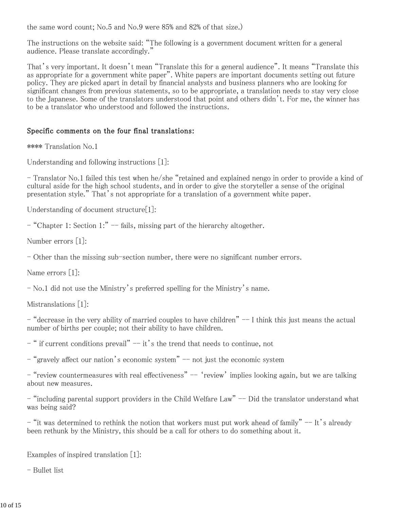the same word count; No.5 and No.9 were 85% and 82% of that size.)

The instructions on the website said: "The following is a government document written for a general audience. Please translate accordingly."

That's very important. It doesn't mean "Translate this for a general audience". It means "Translate this as appropriate for a government white paper". White papers are important documents setting out future policy. They are picked apart in detail by financial analysts and business planners who are looking for significant changes from previous statements, so to be appropriate, a translation needs to stay very close to the Japanese. Some of the translators understood that point and others didn't. For me, the winner has to be a translator who understood and followed the instructions.

#### Specific comments on the four final translations:

\*\*\*\* Translation No.1

Understanding and following instructions [1]:

- Translator No.1 failed this test when he/she "retained and explained nengo in order to provide a kind of cultural aside for the high school students, and in order to give the storyteller a sense of the original presentation style." That's not appropriate for a translation of a government white paper.

Understanding of document structure<sup>[1]</sup>:

- "Chapter 1: Section 1:" -- fails, missing part of the hierarchy altogether.

Number errors [1]:

- Other than the missing sub-section number, there were no significant number errors.

Name errors [1]:

- No.1 did not use the Ministry's preferred spelling for the Ministry's name.

Mistranslations [1]:

 $-$  "decrease in the very ability of married couples to have children"  $-$  I think this just means the actual number of births per couple; not their ability to have children.

 $-$  " if current conditions prevail"  $-$  it's the trend that needs to continue, not

- "gravely affect our nation's economic system" -- not just the economic system

- "review countermeasures with real effectiveness" -- 'review' implies looking again, but we are talking about new measures.

- "including parental support providers in the Child Welfare Law" -- Did the translator understand what was being said?

- "it was determined to rethink the notion that workers must put work ahead of family" -- It's already been rethunk by the Ministry, this should be a call for others to do something about it.

Examples of inspired translation [1]:

- Bullet list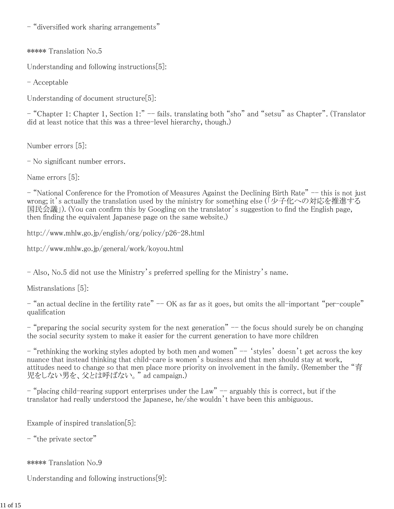- "diversified work sharing arrangements"

\*\*\*\*\* Translation No.5

Understanding and following instructions[5]:

- Acceptable

Understanding of document structure[5]:

- "Chapter 1: Chapter 1, Section 1:" -- fails. translating both "sho" and "setsu" as Chapter". (Translator did at least notice that this was a three-level hierarchy, though.)

Number errors [5]:

- No significant number errors.

Name errors [5]:

- "National Conference for the Promotion of Measures Against the Declining Birth Rate" -- this is not just wrong; it's actually the translation used by the ministry for something else (「少子化への対応を推進する 国民会議」). (You can confirm this by Googling on the translator's suggestion to find the English page, then finding the equivalent Japanese page on the same website.)

http://www.mhlw.go.jp/english/org/policy/p26-28.html

http://www.mhlw.go.jp/general/work/koyou.html

- Also, No.5 did not use the Ministry's preferred spelling for the Ministry's name.

Mistranslations [5]:

 $-$  "an actual decline in the fertility rate"  $-$  OK as far as it goes, but omits the all-important "per-couple" qualification

- "preparing the social security system for the next generation" -- the focus should surely be on changing the social security system to make it easier for the current generation to have more children

- "rethinking the working styles adopted by both men and women" -- 'styles' doesn't get across the key nuance that instead thinking that child-care is women's business and that men should stay at work, attitudes need to change so that men place more priority on involvement in the family. (Remember the "育 児をしない男を、父とは呼ばない。" ad campaign.)

 $-$  "placing child-rearing support enterprises under the Law"  $-$  arguably this is correct, but if the translator had really understood the Japanese, he/she wouldn't have been this ambiguous.

Example of inspired translation[5]:

- "the private sector"

\*\*\*\*\* Translation No.9

Understanding and following instructions[9]: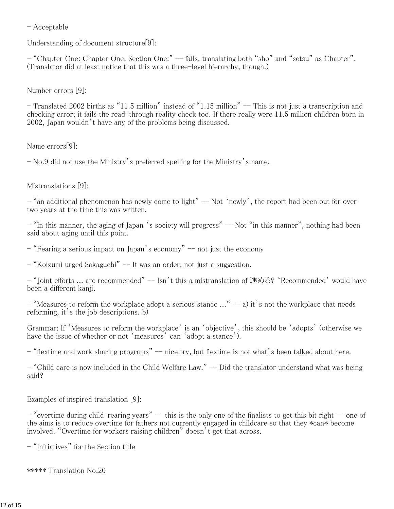- Acceptable

Understanding of document structure[9]:

- "Chapter One: Chapter One, Section One:" -- fails, translating both "sho" and "setsu" as Chapter". (Translator did at least notice that this was a three-level hierarchy, though.)

Number errors [9]:

- Translated 2002 births as "11.5 million" instead of "1.15 million" -- This is not just a transcription and checking error; it fails the read-through reality check too. If there really were 11.5 million children born in 2002, Japan wouldn't have any of the problems being discussed.

Name errors[9]:

- No.9 did not use the Ministry's preferred spelling for the Ministry's name.

Mistranslations [9]:

 $-$  "an additional phenomenon has newly come to light"  $-$  Not 'newly', the report had been out for over two years at the time this was written.

- "In this manner, the aging of Japan 's society will progress" -- Not "in this manner", nothing had been said about aging until this point.

- "Fearing a serious impact on Japan's economy" -- not just the economy

- "Koizumi urged Sakaguchi" -- It was an order, not just a suggestion.

- "Joint efforts ... are recommended" -- Isn't this a mistranslation of 進める? 'Recommended' would have been a different kanji.

- "Measures to reform the workplace adopt a serious stance  $\ldots$ " -- a) it's not the workplace that needs reforming, it's the job descriptions. b)

Grammar: If 'Measures to reform the workplace' is an 'objective', this should be 'adopts' (otherwise we have the issue of whether or not 'measures' can 'adopt a stance').

- "flextime and work sharing programs" -- nice try, but flextime is not what's been talked about here.

- "Child care is now included in the Child Welfare Law." -- Did the translator understand what was being said?

Examples of inspired translation [9]:

- "overtime during child-rearing years"  $-$  this is the only one of the finalists to get this bit right  $-$  one of the aims is to reduce overtime for fathers not currently engaged in childcare so that they \*can\* become involved. "Overtime for workers raising children" doesn't get that across.

- "Initiatives" for the Section title

\*\*\*\*\* Translation No.20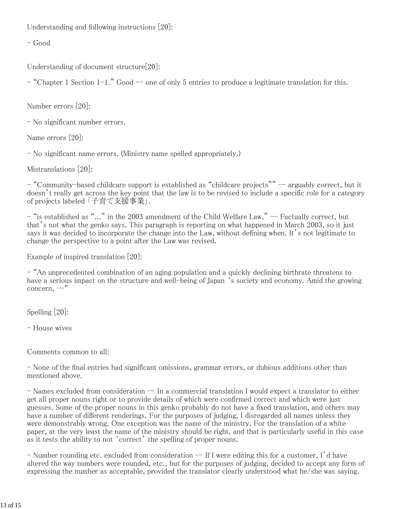Understanding and following instructions [20]:

- Good

Understanding of document structure[20]:

- "Chapter 1 Section 1-1." Good -- one of only 5 entries to produce a legitimate translation for this.

Number errors [20]:

- No significant number errors.

Name errors [20]:

- No significant name errors. (Ministry name spelled appropriately.)

Mistranslations [20]:

- "Community-based childcare support is established as "childcare projects"" -- arguably correct, but it doesn't really get across the key point that the law is to be revised to include a specific role for a category of projects labeled 「子育て支援事業」.

- "is established as "..." in the 2003 amendment of the Child Welfare Law." -- Factually correct, but that's not what the genko says. This paragraph is reporting on what happened in March 2003, so it just says it was decided to incorporate the change into the Law, without defining when. It's not legitimate to change the perspective to a point after the Law was revised.

Example of inspired translation [20]:

- "An unprecedented combination of an aging population and a quickly declining birthrate threatens to have a serious impact on the structure and well-being of Japan 's society and economy. Amid the growing concern, …"

Spelling [20]:

- House wives

Comments common to all:

- None of the final entries had significant omissions, grammar errors, or dubious additions other than mentioned above.

- Names excluded from consideration -- In a commercial translation I would expect a translator to either get all proper nouns right or to provide details of which were confirmed correct and which were just guesses. Some of the proper nouns in this genko probably do not have a fixed translation, and others may have a number of different renderings. For the purposes of judging, I disregarded all names unless they were demonstrably wrong. One exception was the name of the ministry. For the translation of a white paper, at the very least the name of the ministry should be right, and that is particularly useful in this case as it tests the ability to not 'correct' the spelling of proper nouns.

 $-$  Number rounding etc. excluded from consideration  $-$  If I were editing this for a customer, I'd have altered the way numbers were rounded, etc., but for the purposes of judging, decided to accept any form of expressing the number as acceptable, provided the translator clearly understood what he/she was saying.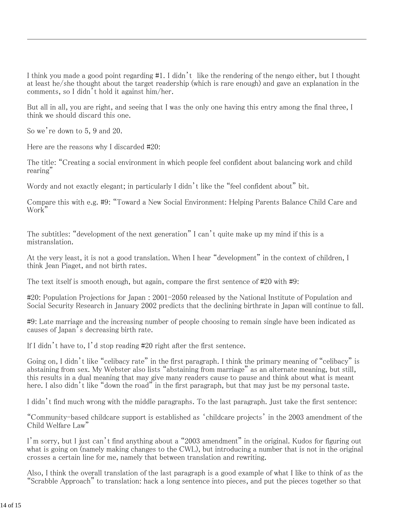I think you made a good point regarding #1. I didn't like the rendering of the nengo either, but I thought at least he/she thought about the target readership (which is rare enough) and gave an explanation in the comments, so I didn't hold it against him/her.

But all in all, you are right, and seeing that I was the only one having this entry among the final three, I think we should discard this one.

So we're down to 5, 9 and 20.

Here are the reasons why I discarded #20:

The title: "Creating a social environment in which people feel confident about balancing work and child rearing"

Wordy and not exactly elegant; in particularly I didn't like the "feel confident about" bit.

Compare this with e.g. #9: "Toward a New Social Environment: Helping Parents Balance Child Care and Work"

The subtitles: "development of the next generation" I can't quite make up my mind if this is a mistranslation.

At the very least, it is not a good translation. When I hear "development" in the context of children, I think Jean Piaget, and not birth rates.

The text itself is smooth enough, but again, compare the first sentence of #20 with #9:

#20: Population Projections for Japan : 2001-2050 released by the National Institute of Population and Social Security Research in January 2002 predicts that the declining birthrate in Japan will continue to fall.

#9: Late marriage and the increasing number of people choosing to remain single have been indicated as causes of Japan's decreasing birth rate.

If I didn't have to, I'd stop reading #20 right after the first sentence.

Going on, I didn't like "celibacy rate" in the first paragraph. I think the primary meaning of "celibacy" is abstaining from sex. My Webster also lists "abstaining from marriage" as an alternate meaning, but still, this results in a dual meaning that may give many readers cause to pause and think about what is meant here. I also didn't like "down the road" in the first paragraph, but that may just be my personal taste.

I didn't find much wrong with the middle paragraphs. To the last paragraph. Just take the first sentence:

"Community-based childcare support is established as 'childcare projects' in the 2003 amendment of the Child Welfare Law"

I'm sorry, but I just can't find anything about a "2003 amendment" in the original. Kudos for figuring out what is going on (namely making changes to the CWL), but introducing a number that is not in the original crosses a certain line for me, namely that between translation and rewriting.

Also, I think the overall translation of the last paragraph is a good example of what I like to think of as the "Scrabble Approach" to translation: hack a long sentence into pieces, and put the pieces together so that